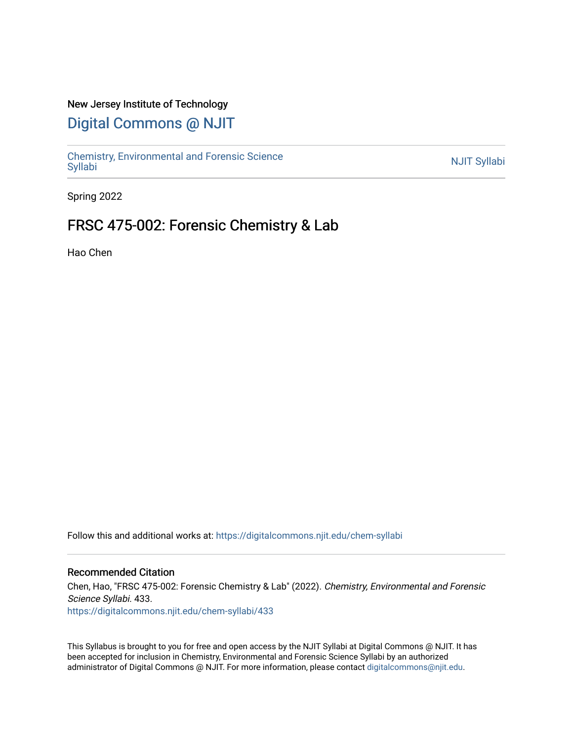### New Jersey Institute of Technology

# [Digital Commons @ NJIT](https://digitalcommons.njit.edu/)

Chemistry, Environmental and Forensic Science<br>Syllabi

Spring 2022

# FRSC 475-002: Forensic Chemistry & Lab

Hao Chen

Follow this and additional works at: [https://digitalcommons.njit.edu/chem-syllabi](https://digitalcommons.njit.edu/chem-syllabi?utm_source=digitalcommons.njit.edu%2Fchem-syllabi%2F433&utm_medium=PDF&utm_campaign=PDFCoverPages) 

### Recommended Citation

Chen, Hao, "FRSC 475-002: Forensic Chemistry & Lab" (2022). Chemistry, Environmental and Forensic Science Syllabi. 433. [https://digitalcommons.njit.edu/chem-syllabi/433](https://digitalcommons.njit.edu/chem-syllabi/433?utm_source=digitalcommons.njit.edu%2Fchem-syllabi%2F433&utm_medium=PDF&utm_campaign=PDFCoverPages) 

This Syllabus is brought to you for free and open access by the NJIT Syllabi at Digital Commons @ NJIT. It has been accepted for inclusion in Chemistry, Environmental and Forensic Science Syllabi by an authorized administrator of Digital Commons @ NJIT. For more information, please contact [digitalcommons@njit.edu.](mailto:digitalcommons@njit.edu)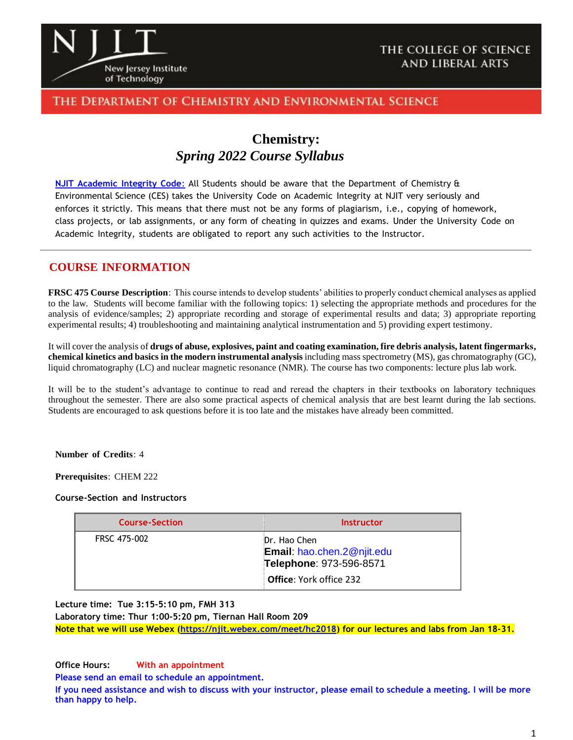

### THE COLLEGE OF SCIENCE **AND LIBERAL ARTS**

## The Department of Chemistry and Environmental Science

# **Chemistry:** *Spring 2022 Course Syllabus*

**NJIT [Academic](https://www.njit.edu/policies/sites/policies/files/academic-integrity-code.pdf) Integrity Code**: All Students should be aware that the Department of Chemistry & Environmental Science (CES) takes the University Code on Academic Integrity at NJIT very seriously and enforces it strictly. This means that there must not be any forms of plagiarism, i.e., copying of homework, class projects, or lab assignments, or any form of cheating in quizzes and exams. Under the University Code on Academic Integrity, students are obligated to report any such activities to the Instructor.

### **COURSE INFORMATION**

**FRSC 475 Course Description**: This course intends to develop students' abilities to properly conduct chemical analyses as applied to the law. Students will become familiar with the following topics: 1) selecting the appropriate methods and procedures for the analysis of evidence/samples; 2) appropriate recording and storage of experimental results and data; 3) appropriate reporting experimental results; 4) troubleshooting and maintaining analytical instrumentation and 5) providing expert testimony.

It will cover the analysis of **drugs of abuse, explosives, paint and coating examination, fire debris analysis, latent fingermarks, chemical kinetics and basics in the modern instrumental analysis** including mass spectrometry (MS), gas chromatography (GC), liquid chromatography (LC) and nuclear magnetic resonance (NMR). The course has two components: lecture plus lab work.

It will be to the student's advantage to continue to read and reread the chapters in their textbooks on laboratory techniques throughout the semester. There are also some practical aspects of chemical analysis that are best learnt during the lab sections. Students are encouraged to ask questions before it is too late and the mistakes have already been committed.

**Number of Credits**: 4

**Prerequisites**: CHEM 222

#### **Course-Section and Instructors**

| <b>Course-Section</b> | Instructor                                                            |
|-----------------------|-----------------------------------------------------------------------|
| FRSC 475-002          | Dr. Hao Chen<br>Email: hao.chen.2@njit.edu<br>Telephone: 973-596-8571 |
|                       | <b>Office:</b> York office 232                                        |

**Lecture time: Tue 3:15-5:10 pm, FMH 313**

**Laboratory time: Thur 1:00-5:20 pm, Tiernan Hall Room 209**

**Note that we will use Webex [\(https://njit.webex.com/meet/hc2018\)](https://njit.webex.com/meet/hc2018) for our lectures and labs from Jan 18-31.**

**Office Hours: With an appointment**

**Please send an email to schedule an appointment.**

**If you need assistance and wish to discuss with your instructor, please email to schedule a meeting. I will be more than happy to help.**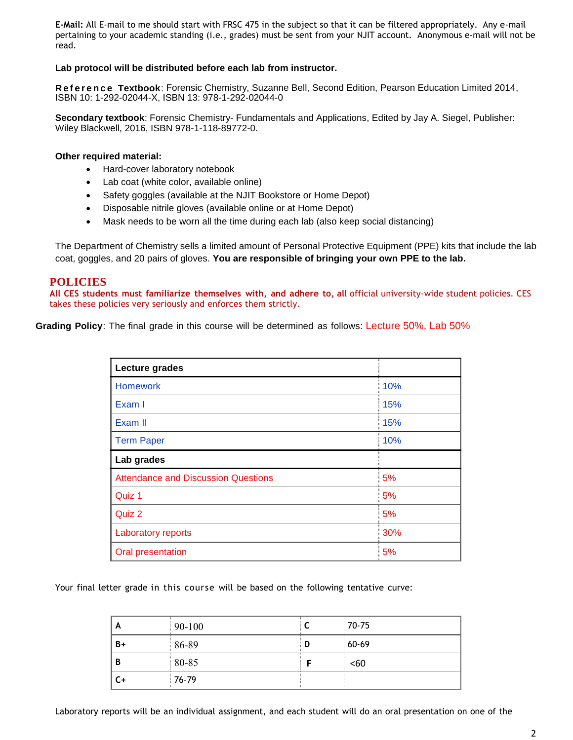**E-Mail:** All E-mail to me should start with FRSC 475 in the subject so that it can be filtered appropriately. Any e-mail pertaining to your academic standing (i.e., grades) must be sent from your NJIT account. Anonymous e-mail will not be read.

#### **Lab protocol will be distributed before each lab from instructor.**

Reference Textbook: Forensic Chemistry, Suzanne Bell, Second Edition, Pearson Education Limited 2014, ISBN 10: 1-292-02044-X, ISBN 13: 978-1-292-02044-0

**Secondary textbook**: Forensic Chemistry- Fundamentals and Applications, Edited by Jay A. Siegel, Publisher: Wiley Blackwell, 2016, ISBN 978-1-118-89772-0.

#### **Other required material:**

- Hard-cover laboratory notebook
- Lab coat (white color, available online)
- Safety goggles (available at the NJIT Bookstore or Home Depot)
- Disposable nitrile gloves (available online or at Home Depot)
- Mask needs to be worn all the time during each lab (also keep social distancing)

The Department of Chemistry sells a limited amount of Personal Protective Equipment (PPE) kits that include the lab coat, goggles, and 20 pairs of gloves. **You are responsible of bringing your own PPE to the lab.**

### **POLICIES**

**All CES students must familiarize themselves with, and adhere to, all** official university-wide student policies. CES takes these policies very seriously and enforces them strictly.

**Grading Policy**: The final grade in this course will be determined as follows: Lecture 50%, Lab 50%

| Lecture grades                             |     |  |  |
|--------------------------------------------|-----|--|--|
| <b>Homework</b>                            | 10% |  |  |
| Exam I                                     | 15% |  |  |
| Exam II                                    | 15% |  |  |
| <b>Term Paper</b>                          | 10% |  |  |
| Lab grades                                 |     |  |  |
| <b>Attendance and Discussion Questions</b> | 5%  |  |  |
| Quiz 1                                     | 5%  |  |  |
| Quiz 2                                     | 5%  |  |  |
| Laboratory reports                         | 30% |  |  |
| Oral presentation                          | 5%  |  |  |

Your final letter grade in this course will be based on the following tentative curve:

| A    | 90-100 | ∼ | $70 - 75$ |
|------|--------|---|-----------|
| $B+$ | 86-89  | D | $60-69$   |
| B    | 80-85  |   | <60       |
| $C+$ | 76-79  |   |           |

Laboratory reports will be an individual assignment, and each student will do an oral presentation on one of the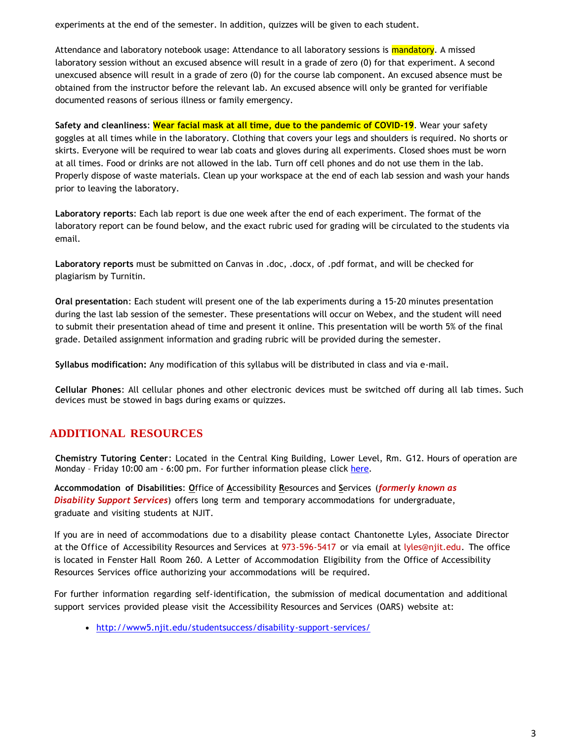experiments at the end of the semester. In addition, quizzes will be given to each student.

Attendance and laboratory notebook usage: Attendance to all laboratory sessions is <mark>mandatory</mark>. A missed laboratory session without an excused absence will result in a grade of zero (0) for that experiment. A second unexcused absence will result in a grade of zero (0) for the course lab component. An excused absence must be obtained from the instructor before the relevant lab. An excused absence will only be granted for verifiable documented reasons of serious illness or family emergency.

**Safety and cleanliness**: **Wear facial mask at all time, due to the pandemic of COVID-19**. Wear your safety goggles at all times while in the laboratory. Clothing that covers your legs and shoulders is required. No shorts or skirts. Everyone will be required to wear lab coats and gloves during all experiments. Closed shoes must be worn at all times. Food or drinks are not allowed in the lab. Turn off cell phones and do not use them in the lab. Properly dispose of waste materials. Clean up your workspace at the end of each lab session and wash your hands prior to leaving the laboratory.

**Laboratory reports**: Each lab report is due one week after the end of each experiment. The format of the laboratory report can be found below, and the exact rubric used for grading will be circulated to the students via email.

**Laboratory reports** must be submitted on Canvas in .doc, .docx, of .pdf format, and will be checked for plagiarism by Turnitin.

**Oral presentation**: Each student will present one of the lab experiments during a 15-20 minutes presentation during the last lab session of the semester. These presentations will occur on Webex, and the student will need to submit their presentation ahead of time and present it online. This presentation will be worth 5% of the final grade. Detailed assignment information and grading rubric will be provided during the semester.

**Syllabus modification:** Any modification of this syllabus will be distributed in class and via e-mail.

**Cellular Phones**: All cellular phones and other electronic devices must be switched off during all lab times. Such devices must be stowed in bags during exams or quizzes.

# **ADDITIONAL RESOURCES**

**Chemistry Tutoring Center**: Located in the Central King Building, Lower Level, Rm. G12. Hours of operation are Monday – Friday 10:00 am - 6:00 pm. For further information please click [here.](http://chemistry.njit.edu/students/)

**Accommodation of Disabilities**: **O**ffice of **A**ccessibility **R**esources and **S**ervices (*formerly known as Disability Support Services*) offers long term and temporary accommodations for undergraduate, graduate and visiting students at NJIT.

If you are in need of accommodations due to a disability please contact Chantonette Lyles, Associate Director at the Office of Accessibility Resources and Services at 973-596-5417 or via email at [lyles@njit.edu.](mailto:lyles@njit.edu) The office is located in Fenster Hall Room 260. A Letter of Accommodation Eligibility from the Office of Accessibility Resources Services office authorizing your accommodations will be required.

For further information regarding self-identification, the submission of medical documentation and additional support services provided please visit the Accessibility Resources and Services (OARS) website at:

[http://www5.njit.edu/studentsuccess/disability-support-services/](http://www.njit.edu/studentsuccess/accessibility/)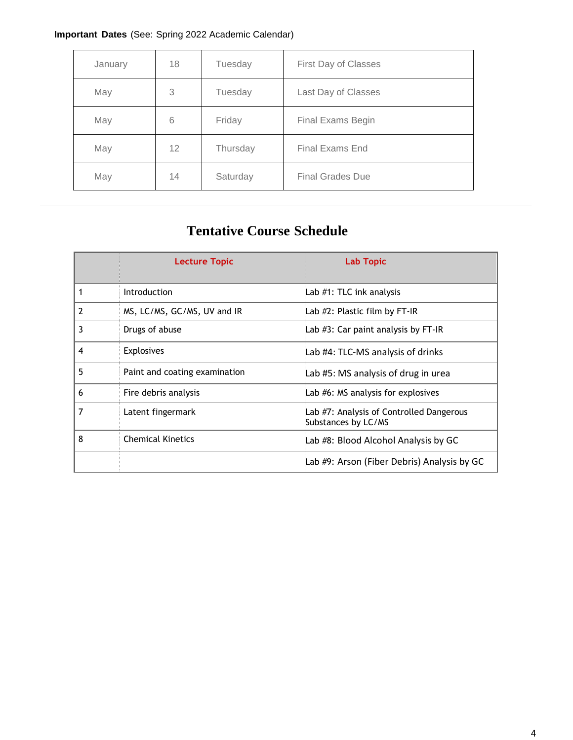# **Important Dates** (See: Spring 2022 Academic Calendar)

| January | 18 | Tuesday  | First Day of Classes    |
|---------|----|----------|-------------------------|
| May     | 3  | Tuesday  | Last Day of Classes     |
| May     | 6  | Friday   | Final Exams Begin       |
| May     | 12 | Thursday | <b>Final Exams End</b>  |
| May     | 14 | Saturday | <b>Final Grades Due</b> |

# **Tentative Course Schedule**

|   | <b>Lecture Topic</b>          | Lab Topic                                                       |
|---|-------------------------------|-----------------------------------------------------------------|
| 1 | <b>Introduction</b>           | Lab #1: TLC ink analysis                                        |
| 2 | MS, LC/MS, GC/MS, UV and IR   | Lab #2: Plastic film by FT-IR                                   |
| 3 | Drugs of abuse                | Lab #3: Car paint analysis by FT-IR                             |
| 4 | <b>Explosives</b>             | Lab #4: TLC-MS analysis of drinks                               |
| 5 | Paint and coating examination | Lab #5: MS analysis of drug in urea                             |
| 6 | Fire debris analysis          | Lab #6: MS analysis for explosives                              |
| 7 | Latent fingermark             | Lab #7: Analysis of Controlled Dangerous<br>Substances by LC/MS |
| 8 | <b>Chemical Kinetics</b>      | Lab #8: Blood Alcohol Analysis by GC                            |
|   |                               | Lab #9: Arson (Fiber Debris) Analysis by GC                     |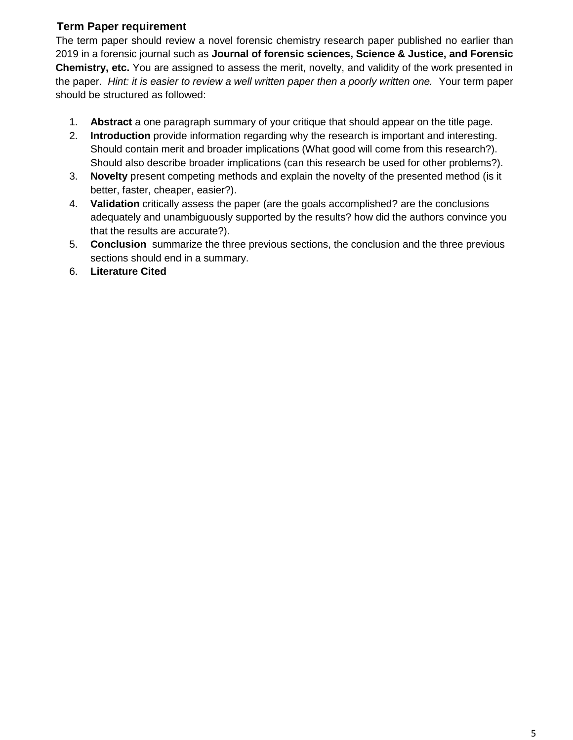# **Term Paper requirement**

The term paper should review a novel forensic chemistry research paper published no earlier than 2019 in a forensic journal such as **Journal of forensic sciences, Science & Justice, and Forensic Chemistry, etc.** You are assigned to assess the merit, novelty, and validity of the work presented in the paper. *Hint: it is easier to review a well written paper then a poorly written one.* Your term paper should be structured as followed:

- 1. **Abstract** a one paragraph summary of your critique that should appear on the title page.
- 2. **Introduction** provide information regarding why the research is important and interesting. Should contain merit and broader implications (What good will come from this research?). Should also describe broader implications (can this research be used for other problems?).
- 3. **Novelty** present competing methods and explain the novelty of the presented method (is it better, faster, cheaper, easier?).
- 4. **Validation** critically assess the paper (are the goals accomplished? are the conclusions adequately and unambiguously supported by the results? how did the authors convince you that the results are accurate?).
- 5. **Conclusion** summarize the three previous sections, the conclusion and the three previous sections should end in a summary.
- 6. **Literature Cited**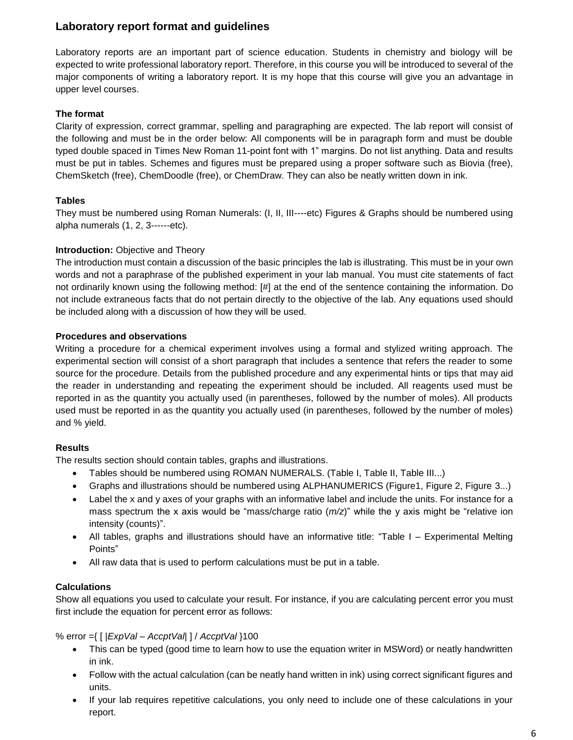# **Laboratory report format and guidelines**

Laboratory reports are an important part of science education. Students in chemistry and biology will be expected to write professional laboratory report. Therefore, in this course you will be introduced to several of the major components of writing a laboratory report. It is my hope that this course will give you an advantage in upper level courses.

### **The format**

Clarity of expression, correct grammar, spelling and paragraphing are expected. The lab report will consist of the following and must be in the order below: All components will be in paragraph form and must be double typed double spaced in Times New Roman 11-point font with 1" margins. Do not list anything. Data and results must be put in tables. Schemes and figures must be prepared using a proper software such as Biovia (free), ChemSketch (free), ChemDoodle (free), or ChemDraw. They can also be neatly written down in ink.

### **Tables**

They must be numbered using Roman Numerals: (I, II, III----etc) Figures & Graphs should be numbered using alpha numerals (1, 2, 3------etc).

### **Introduction:** Objective and Theory

The introduction must contain a discussion of the basic principles the lab is illustrating. This must be in your own words and not a paraphrase of the published experiment in your lab manual. You must cite statements of fact not ordinarily known using the following method: [#] at the end of the sentence containing the information. Do not include extraneous facts that do not pertain directly to the objective of the lab. Any equations used should be included along with a discussion of how they will be used.

### **Procedures and observations**

Writing a procedure for a chemical experiment involves using a formal and stylized writing approach. The experimental section will consist of a short paragraph that includes a sentence that refers the reader to some source for the procedure. Details from the published procedure and any experimental hints or tips that may aid the reader in understanding and repeating the experiment should be included. All reagents used must be reported in as the quantity you actually used (in parentheses, followed by the number of moles). All products used must be reported in as the quantity you actually used (in parentheses, followed by the number of moles) and % yield.

### **Results**

The results section should contain tables, graphs and illustrations.

- Tables should be numbered using ROMAN NUMERALS. (Table I, Table II, Table III...)
- Graphs and illustrations should be numbered using ALPHANUMERICS (Figure1, Figure 2, Figure 3...)
- Label the x and y axes of your graphs with an informative label and include the units. For instance for a mass spectrum the x axis would be "mass/charge ratio (*m/z*)" while the y axis might be "relative ion intensity (counts)".
- All tables, graphs and illustrations should have an informative title: "Table I Experimental Melting Points"
- All raw data that is used to perform calculations must be put in a table.

### **Calculations**

Show all equations you used to calculate your result. For instance, if you are calculating percent error you must first include the equation for percent error as follows:

### % error ={ [ |*ExpVal – AccptVal*| ] / *AccptVal* }100

- This can be typed (good time to learn how to use the equation writer in MSWord) or neatly handwritten in ink.
- Follow with the actual calculation (can be neatly hand written in ink) using correct significant figures and units.
- If your lab requires repetitive calculations, you only need to include one of these calculations in your report.